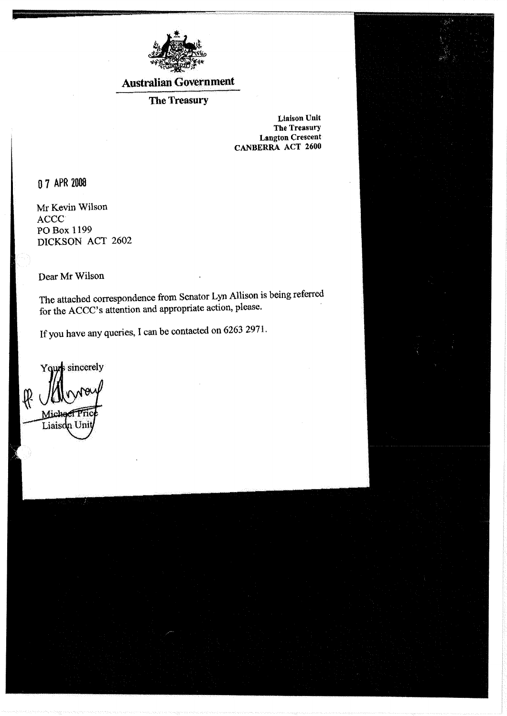

### **Australian Government**

### The Treasury

**Liaison Unit** The Treasury **Langton Crescent** CANBERRA ACT 2600

0 7 APR 2008

Mr Kevin Wilson ACCC<sup>-</sup> PO Box 1199 DICKSON ACT 2602

Dear Mr Wilson

The attached correspondence from Senator Lyn Allison is being referred for the ACCC's attention and appropriate action, please.

If you have any queries, I can be contacted on 6263 2971.

Your sincerely

 $\mathcal{R}$ Miche Liaisdn Un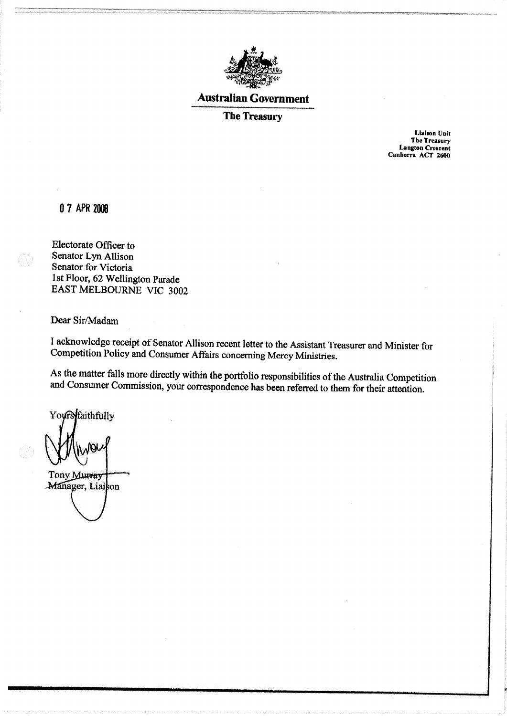

#### **Australian Government**

#### **The Treasury**

**Liaison Unit** The Treasury **Langton Crescent** Canberra ACT 2600

0 7 APR 2008

Electorate Officer to Senator Lyn Allison Senator for Victoria 1st Floor, 62 Wellington Parade EAST MELBOURNE VIC 3002

Dear Sir/Madam

I acknowledge receipt of Senator Allison recent letter to the Assistant Treasurer and Minister for Competition Policy and Consumer Affairs concerning Mercy Ministries.

As the matter falls more directly within the portfolio responsibilities of the Australia Competition and Consumer Commission, your correspondence has been referred to them for their attention.

Yours faithfully

Tony Murray Manager, Liaison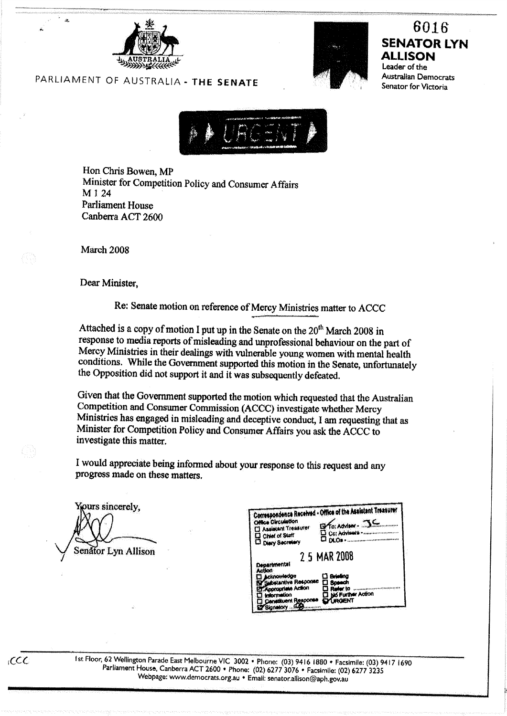



## 6016 **SENATOR LYN ALLISON**

Leader of the Australian Democrats Senator for Victoria



Hon Chris Bowen, MP Minister for Competition Policy and Consumer Affairs M 1 24 **Parliament House** Canberra ACT 2600

March 2008

Dear Minister.

Re: Senate motion on reference of Mercy Ministries matter to ACCC

Attached is a copy of motion I put up in the Senate on the 20<sup>th</sup> March 2008 in response to media reports of misleading and unprofessional behaviour on the part of Mercy Ministries in their dealings with vulnerable young women with mental health conditions. While the Government supported this motion in the Senate, unfortunately the Opposition did not support it and it was subsequently defeated.

Given that the Government supported the motion which requested that the Australian Competition and Consumer Commission (ACCC) investigate whether Mercy Ministries has engaged in misleading and deceptive conduct, I am requesting that as Minister for Competition Policy and Consumer Affairs you ask the ACCC to investigate this matter.

I would appreciate being informed about your response to this request and any progress made on these matters.

ours sincerely, Senator Lyn Allison

 $CCC$ 

| Office Circulation<br>Assistant Treasurer<br>C) Chief of Staff<br><sup>[]</sup> Diary Secretary                                          | Correspondence Received - Office of the Assistant Treasurer<br>$B$ To: Adviser . JC<br>D Cc: Advisers<br>י נס∟ס ⊐ |
|------------------------------------------------------------------------------------------------------------------------------------------|-------------------------------------------------------------------------------------------------------------------|
| Departmental                                                                                                                             | 2 5 MAR 2008                                                                                                      |
| Action<br><b>Acknowledge</b><br>Substantive Response<br><b>Appropriate Action</b><br>triormation<br>Constituent Response<br>Signatory 45 | □ Griefing<br>□ Speech<br><b>Refer to</b><br><b>List Further Action</b><br>masnt                                  |

Ist Floor, 62 Wellington Parade East Melbourne VIC 3002 · Phone: (03) 9416 1880 · Facsimile: (03) 9417 1690 Parliament House, Canberra ACT 2600 • Phone: (02) 6277 3076 • Facsimile: (02) 6277 3235 Webpage: www.democrats.org.au . Email: senator.allison@aph.gov.au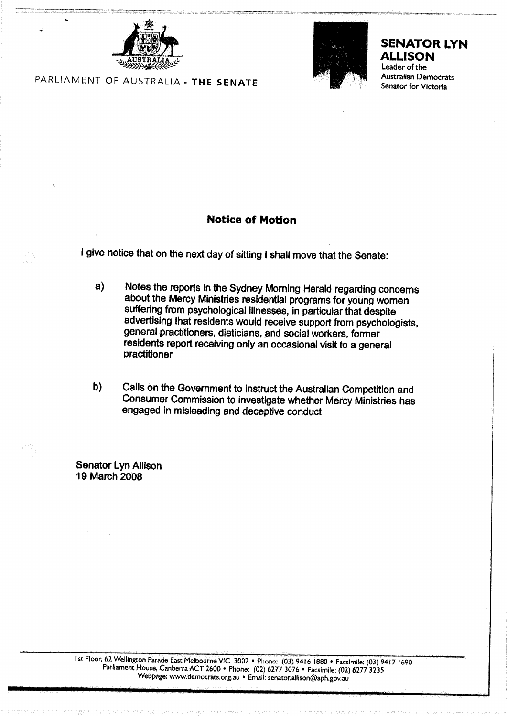



#### **SENATOR LYN ALLISON**

Leader of the Australian Democrats Senator for Victoria

PARLIAMENT OF AUSTRALIA - THE SENATE

#### **Notice of Motion**

I give notice that on the next day of sitting I shall move that the Senate:

- Notes the reports in the Sydney Morning Herald regarding concerns a) about the Mercy Ministries residential programs for young women suffering from psychological illnesses, in particular that despite advertising that residents would receive support from psychologists, general practitioners, dieticians, and social workers, former residents report receiving only an occasional visit to a general practitioner
- $b)$ Calls on the Government to instruct the Australian Competition and Consumer Commission to investigate whether Mercy Ministries has engaged in misleading and deceptive conduct

**Senator Lyn Allison** 19 March 2008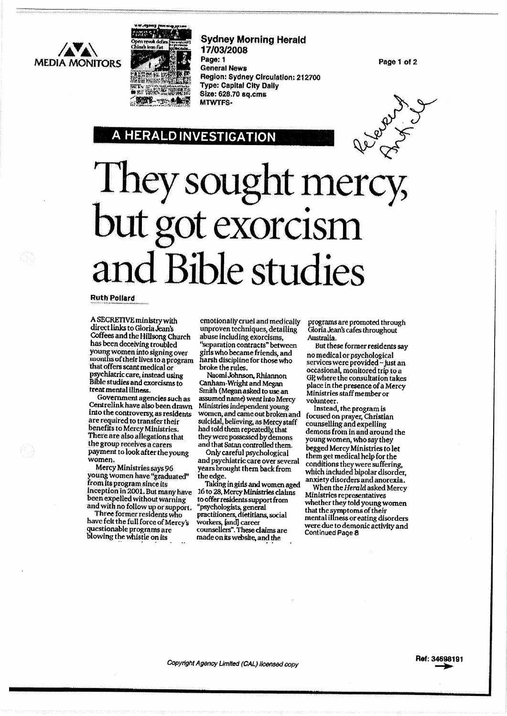**MEDIA MONITORS** 



**HERALD INVESTIGATION** 

**Sydney Morning Herald** 17/03/2008 Page: 1 **General News** Region: Sydney Circulation: 212700 **Type: Capital City Dally** Size: 628.70 sq.cms MTWTFS-

Page 1 of 2



# They sought mercy,<br>but got exorcism and Bible studies

#### **Ruth Pollard**

A SECRETIVE ministry with direct links to Gloria Jean's Coffees and the Hillsong Church has been deceiving troubled young women into signing over months of their lives to a program that offers scant medical or psychlatric care, instead using Bible studies and exorcisms to treat mental illness.

Government agencies such as Centrelink have also been drawn into the controversy, as residents are required to transfer their benefits to Mercy Ministries. There are also allegations that the group receives a carers payment to look after the young women.

Mercy Ministries says 96<br>"young women have "graduated from its program since its Inception in 2001, But many have been expelled without warning and with no follow up or support.

Three former residents who have felt the full force of Mercy's questionable programs are blowing the whistle on its

emotionally cruel and medically unproven techniques, detailing abuse including exorcisms. "separation contracts" between girls who became friends, and harsh discipline for those who broke the rules.

Naomi Johnson, Rhiannon Canham-Wright and Megan Smith (Megan asked to use an assumed name) went into Mercy Ministries independent young women, and came out broken and suicidal, believing, as Mercy staff had told them repeatedly, that they were possessed by demons and that Satan controlled them.

Only careful psychological and psychiatric care over several years brought them back from the edge.

Taking in girls and women aged 16 to 28, Mercy Ministries claims to offer residents support from "psychologists, general<br>practitioners, dietitians, social workers, [and] career counsellers". These claims are made on its website, and the

programs are promoted through Gloria Jean's cafes throughout Australia.

But these former residents say no medical or psychological services were provided - just an<br>occasional, monitored trip to a GP, where the consultation takes place in the presence of a Mercy Ministries staff member or volunteer.

Instead, the program is focused on prayer, Christian counselling and expelling demons from in and around the young women, who say they begged Mercy Ministries to let them get medical help for the conditions they were suffering, which included bipolar disorder. anxiety disorders and anorexia.

When the Herald asked Mercy Ministries representatives whether they told young women that the symptoms of their mental illness or eating disorders were due to demonic activity and Continued Page 8